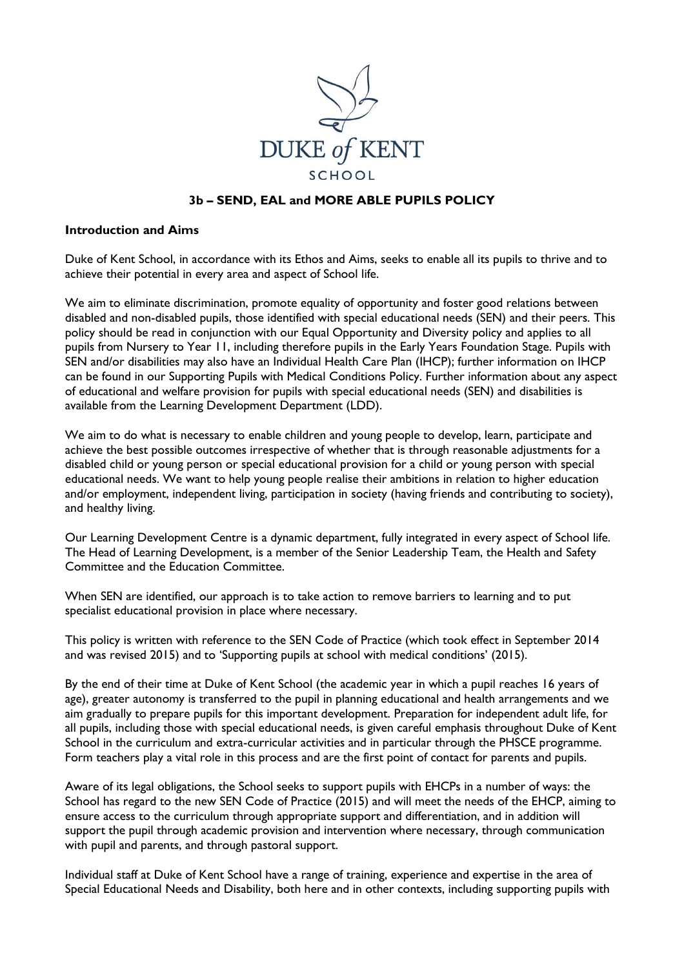

### **3b – SEND, EAL and MORE ABLE PUPILS POLICY**

#### **Introduction and Aims**

Duke of Kent School, in accordance with its Ethos and Aims, seeks to enable all its pupils to thrive and to achieve their potential in every area and aspect of School life.

We aim to eliminate discrimination, promote equality of opportunity and foster good relations between disabled and non-disabled pupils, those identified with special educational needs (SEN) and their peers. This policy should be read in conjunction with our Equal Opportunity and Diversity policy and applies to all pupils from Nursery to Year 11, including therefore pupils in the Early Years Foundation Stage. Pupils with SEN and/or disabilities may also have an Individual Health Care Plan (IHCP); further information on IHCP can be found in our Supporting Pupils with Medical Conditions Policy. Further information about any aspect of educational and welfare provision for pupils with special educational needs (SEN) and disabilities is available from the Learning Development Department (LDD).

We aim to do what is necessary to enable children and young people to develop, learn, participate and achieve the best possible outcomes irrespective of whether that is through reasonable adjustments for a disabled child or young person or special educational provision for a child or young person with special educational needs. We want to help young people realise their ambitions in relation to higher education and/or employment, independent living, participation in society (having friends and contributing to society), and healthy living.

Our Learning Development Centre is a dynamic department, fully integrated in every aspect of School life. The Head of Learning Development, is a member of the Senior Leadership Team, the Health and Safety Committee and the Education Committee.

When SEN are identified, our approach is to take action to remove barriers to learning and to put specialist educational provision in place where necessary.

This policy is written with reference to the SEN Code of Practice (which took effect in September 2014 and was revised 2015) and to 'Supporting pupils at school with medical conditions' (2015).

By the end of their time at Duke of Kent School (the academic year in which a pupil reaches 16 years of age), greater autonomy is transferred to the pupil in planning educational and health arrangements and we aim gradually to prepare pupils for this important development. Preparation for independent adult life, for all pupils, including those with special educational needs, is given careful emphasis throughout Duke of Kent School in the curriculum and extra-curricular activities and in particular through the PHSCE programme. Form teachers play a vital role in this process and are the first point of contact for parents and pupils.

Aware of its legal obligations, the School seeks to support pupils with EHCPs in a number of ways: the School has regard to the new SEN Code of Practice (2015) and will meet the needs of the EHCP, aiming to ensure access to the curriculum through appropriate support and differentiation, and in addition will support the pupil through academic provision and intervention where necessary, through communication with pupil and parents, and through pastoral support.

Individual staff at Duke of Kent School have a range of training, experience and expertise in the area of Special Educational Needs and Disability, both here and in other contexts, including supporting pupils with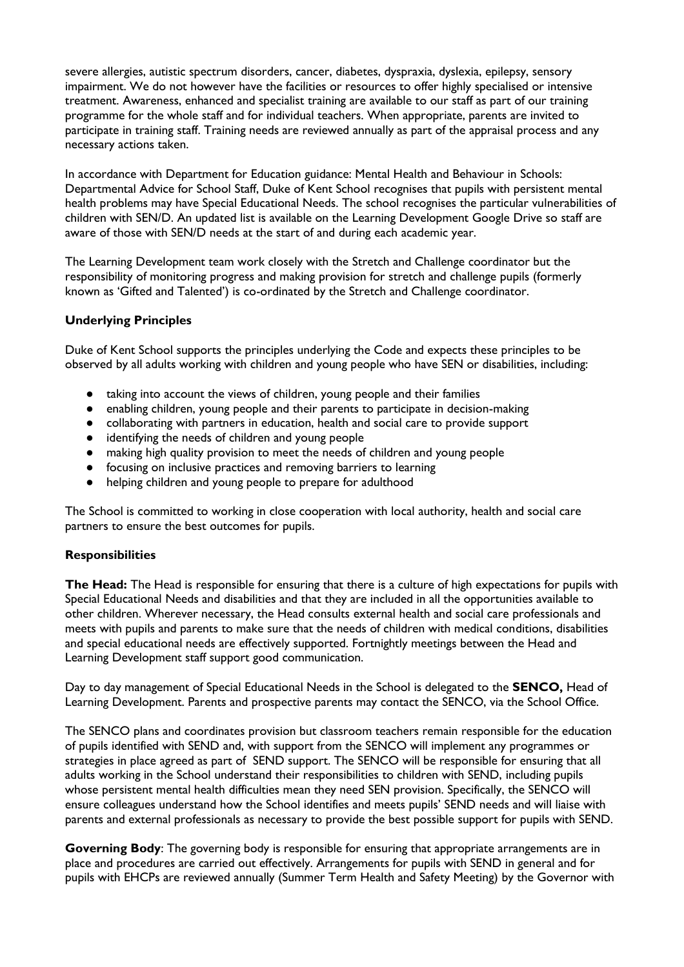severe allergies, autistic spectrum disorders, cancer, diabetes, dyspraxia, dyslexia, epilepsy, sensory impairment. We do not however have the facilities or resources to offer highly specialised or intensive treatment. Awareness, enhanced and specialist training are available to our staff as part of our training programme for the whole staff and for individual teachers. When appropriate, parents are invited to participate in training staff. Training needs are reviewed annually as part of the appraisal process and any necessary actions taken.

In accordance with Department for Education guidance: Mental Health and Behaviour in Schools: Departmental Advice for School Staff, Duke of Kent School recognises that pupils with persistent mental health problems may have Special Educational Needs. The school recognises the particular vulnerabilities of children with SEN/D. An updated list is available on the Learning Development Google Drive so staff are aware of those with SEN/D needs at the start of and during each academic year.

The Learning Development team work closely with the Stretch and Challenge coordinator but the responsibility of monitoring progress and making provision for stretch and challenge pupils (formerly known as 'Gifted and Talented') is co-ordinated by the Stretch and Challenge coordinator.

### **Underlying Principles**

Duke of Kent School supports the principles underlying the Code and expects these principles to be observed by all adults working with children and young people who have SEN or disabilities, including:

- taking into account the views of children, young people and their families
- enabling children, young people and their parents to participate in decision-making
- collaborating with partners in education, health and social care to provide support
- identifying the needs of children and young people
- making high quality provision to meet the needs of children and young people
- focusing on inclusive practices and removing barriers to learning
- helping children and young people to prepare for adulthood

The School is committed to working in close cooperation with local authority, health and social care partners to ensure the best outcomes for pupils.

### **Responsibilities**

**The Head:** The Head is responsible for ensuring that there is a culture of high expectations for pupils with Special Educational Needs and disabilities and that they are included in all the opportunities available to other children. Wherever necessary, the Head consults external health and social care professionals and meets with pupils and parents to make sure that the needs of children with medical conditions, disabilities and special educational needs are effectively supported. Fortnightly meetings between the Head and Learning Development staff support good communication.

Day to day management of Special Educational Needs in the School is delegated to the **SENCO,** Head of Learning Development. Parents and prospective parents may contact the SENCO, via the School Office.

The SENCO plans and coordinates provision but classroom teachers remain responsible for the education of pupils identified with SEND and, with support from the SENCO will implement any programmes or strategies in place agreed as part of SEND support. The SENCO will be responsible for ensuring that all adults working in the School understand their responsibilities to children with SEND, including pupils whose persistent mental health difficulties mean they need SEN provision. Specifically, the SENCO will ensure colleagues understand how the School identifies and meets pupils' SEND needs and will liaise with parents and external professionals as necessary to provide the best possible support for pupils with SEND.

**Governing Body**: The governing body is responsible for ensuring that appropriate arrangements are in place and procedures are carried out effectively. Arrangements for pupils with SEND in general and for pupils with EHCPs are reviewed annually (Summer Term Health and Safety Meeting) by the Governor with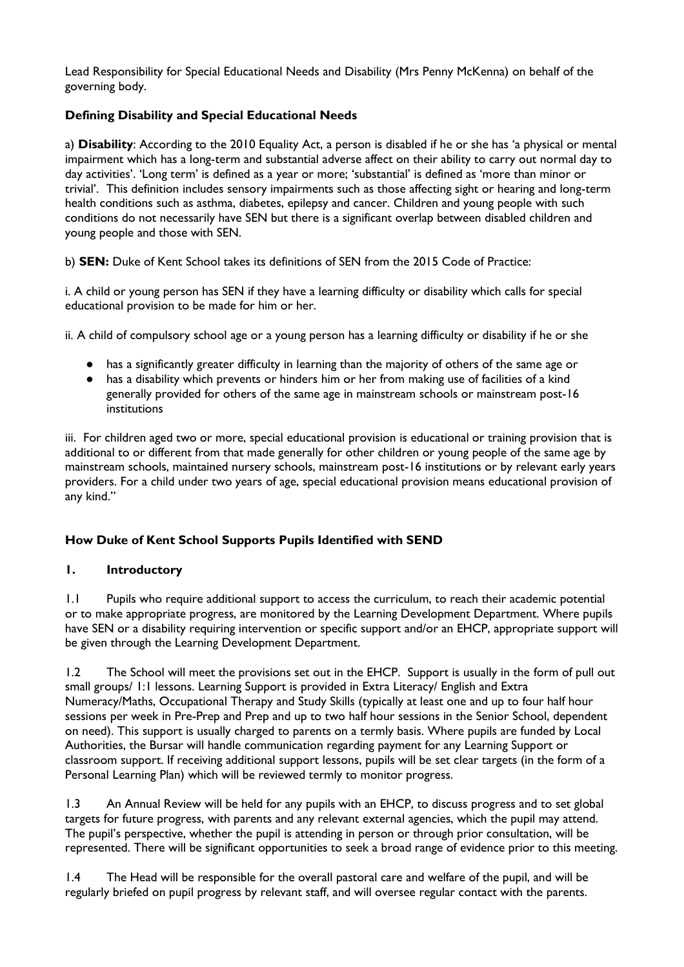Lead Responsibility for Special Educational Needs and Disability (Mrs Penny McKenna) on behalf of the governing body.

## **Defining Disability and Special Educational Needs**

a) **Disability**: According to the 2010 Equality Act, a person is disabled if he or she has 'a physical or mental impairment which has a long-term and substantial adverse affect on their ability to carry out normal day to day activities'. 'Long term' is defined as a year or more; 'substantial' is defined as 'more than minor or trivial'. This definition includes sensory impairments such as those affecting sight or hearing and long-term health conditions such as asthma, diabetes, epilepsy and cancer. Children and young people with such conditions do not necessarily have SEN but there is a significant overlap between disabled children and young people and those with SEN.

b) **SEN:** Duke of Kent School takes its definitions of SEN from the 2015 Code of Practice:

i. A child or young person has SEN if they have a learning difficulty or disability which calls for special educational provision to be made for him or her.

ii. A child of compulsory school age or a young person has a learning difficulty or disability if he or she

- has a significantly greater difficulty in learning than the majority of others of the same age or
- has a disability which prevents or hinders him or her from making use of facilities of a kind generally provided for others of the same age in mainstream schools or mainstream post-16 institutions

iii. For children aged two or more, special educational provision is educational or training provision that is additional to or different from that made generally for other children or young people of the same age by mainstream schools, maintained nursery schools, mainstream post-16 institutions or by relevant early years providers. For a child under two years of age, special educational provision means educational provision of any kind."

### **How Duke of Kent School Supports Pupils Identified with SEND**

### **1. Introductory**

1.1 Pupils who require additional support to access the curriculum, to reach their academic potential or to make appropriate progress, are monitored by the Learning Development Department. Where pupils have SEN or a disability requiring intervention or specific support and/or an EHCP, appropriate support will be given through the Learning Development Department.

1.2 The School will meet the provisions set out in the EHCP. Support is usually in the form of pull out small groups/ 1:1 lessons. Learning Support is provided in Extra Literacy/ English and Extra Numeracy/Maths, Occupational Therapy and Study Skills (typically at least one and up to four half hour sessions per week in Pre-Prep and Prep and up to two half hour sessions in the Senior School, dependent on need). This support is usually charged to parents on a termly basis. Where pupils are funded by Local Authorities, the Bursar will handle communication regarding payment for any Learning Support or classroom support. If receiving additional support lessons, pupils will be set clear targets (in the form of a Personal Learning Plan) which will be reviewed termly to monitor progress.

1.3 An Annual Review will be held for any pupils with an EHCP, to discuss progress and to set global targets for future progress, with parents and any relevant external agencies, which the pupil may attend. The pupil's perspective, whether the pupil is attending in person or through prior consultation, will be represented. There will be significant opportunities to seek a broad range of evidence prior to this meeting.

1.4 The Head will be responsible for the overall pastoral care and welfare of the pupil, and will be regularly briefed on pupil progress by relevant staff, and will oversee regular contact with the parents.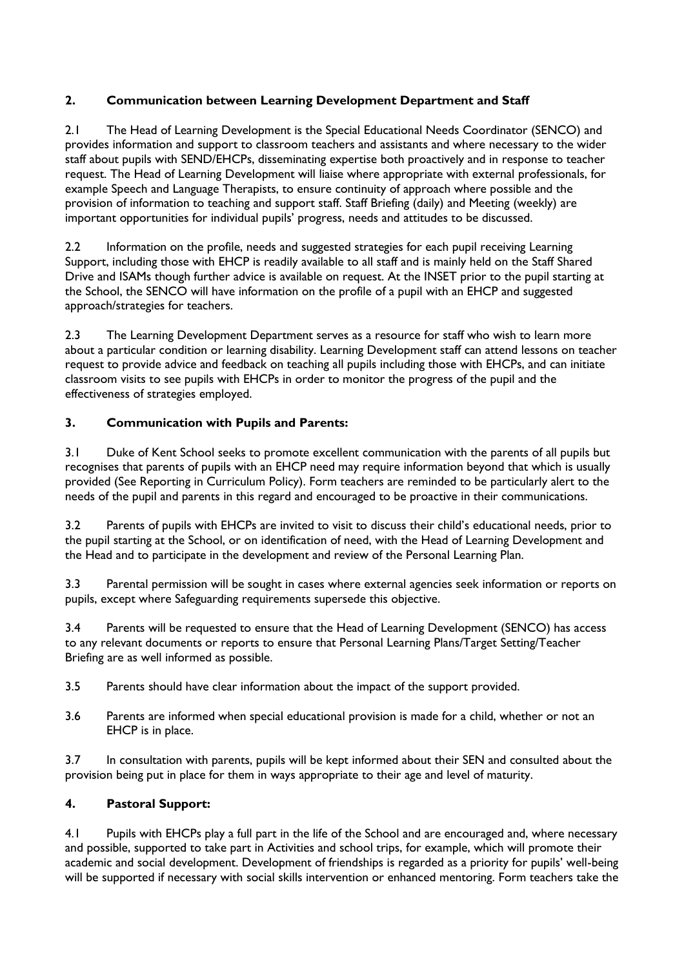# **2. Communication between Learning Development Department and Staff**

2.1 The Head of Learning Development is the Special Educational Needs Coordinator (SENCO) and provides information and support to classroom teachers and assistants and where necessary to the wider staff about pupils with SEND/EHCPs, disseminating expertise both proactively and in response to teacher request. The Head of Learning Development will liaise where appropriate with external professionals, for example Speech and Language Therapists, to ensure continuity of approach where possible and the provision of information to teaching and support staff. Staff Briefing (daily) and Meeting (weekly) are important opportunities for individual pupils' progress, needs and attitudes to be discussed.

2.2 Information on the profile, needs and suggested strategies for each pupil receiving Learning Support, including those with EHCP is readily available to all staff and is mainly held on the Staff Shared Drive and ISAMs though further advice is available on request. At the INSET prior to the pupil starting at the School, the SENCO will have information on the profile of a pupil with an EHCP and suggested approach/strategies for teachers.

2.3 The Learning Development Department serves as a resource for staff who wish to learn more about a particular condition or learning disability. Learning Development staff can attend lessons on teacher request to provide advice and feedback on teaching all pupils including those with EHCPs, and can initiate classroom visits to see pupils with EHCPs in order to monitor the progress of the pupil and the effectiveness of strategies employed.

# **3. Communication with Pupils and Parents:**

3.1 Duke of Kent School seeks to promote excellent communication with the parents of all pupils but recognises that parents of pupils with an EHCP need may require information beyond that which is usually provided (See Reporting in Curriculum Policy). Form teachers are reminded to be particularly alert to the needs of the pupil and parents in this regard and encouraged to be proactive in their communications.

3.2 Parents of pupils with EHCPs are invited to visit to discuss their child's educational needs, prior to the pupil starting at the School, or on identification of need, with the Head of Learning Development and the Head and to participate in the development and review of the Personal Learning Plan.

3.3 Parental permission will be sought in cases where external agencies seek information or reports on pupils, except where Safeguarding requirements supersede this objective.

3.4 Parents will be requested to ensure that the Head of Learning Development (SENCO) has access to any relevant documents or reports to ensure that Personal Learning Plans/Target Setting/Teacher Briefing are as well informed as possible.

- 3.5 Parents should have clear information about the impact of the support provided.
- 3.6 Parents are informed when special educational provision is made for a child, whether or not an EHCP is in place.

3.7 In consultation with parents, pupils will be kept informed about their SEN and consulted about the provision being put in place for them in ways appropriate to their age and level of maturity.

# **4. Pastoral Support:**

4.1 Pupils with EHCPs play a full part in the life of the School and are encouraged and, where necessary and possible, supported to take part in Activities and school trips, for example, which will promote their academic and social development. Development of friendships is regarded as a priority for pupils' well-being will be supported if necessary with social skills intervention or enhanced mentoring. Form teachers take the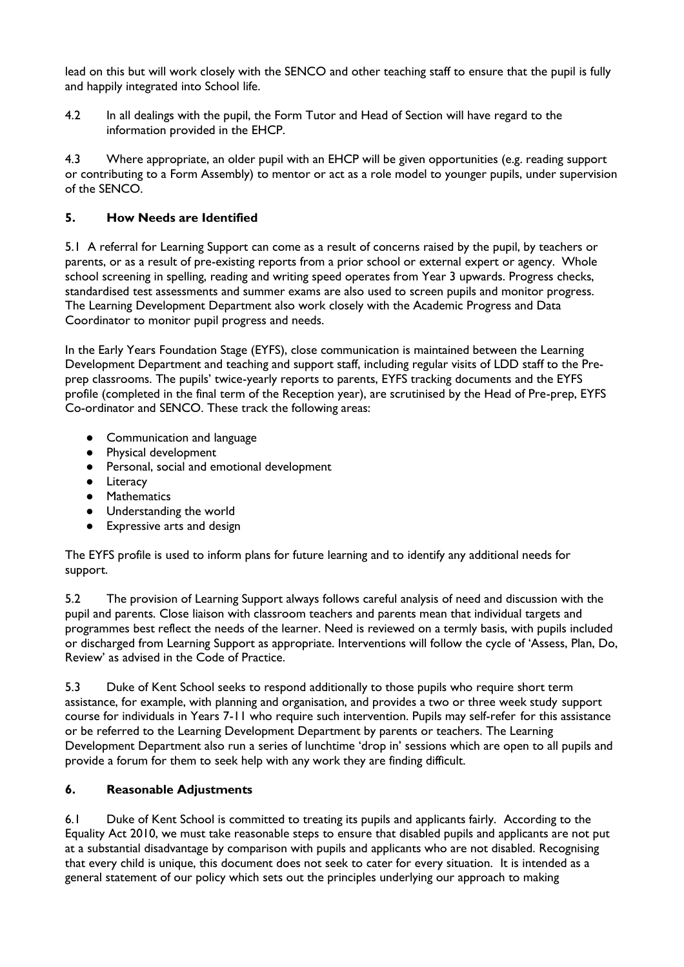lead on this but will work closely with the SENCO and other teaching staff to ensure that the pupil is fully and happily integrated into School life.

4.2 In all dealings with the pupil, the Form Tutor and Head of Section will have regard to the information provided in the EHCP.

4.3 Where appropriate, an older pupil with an EHCP will be given opportunities (e.g. reading support or contributing to a Form Assembly) to mentor or act as a role model to younger pupils, under supervision of the SENCO.

# **5. How Needs are Identified**

5.1 A referral for Learning Support can come as a result of concerns raised by the pupil, by teachers or parents, or as a result of pre-existing reports from a prior school or external expert or agency. Whole school screening in spelling, reading and writing speed operates from Year 3 upwards. Progress checks, standardised test assessments and summer exams are also used to screen pupils and monitor progress. The Learning Development Department also work closely with the Academic Progress and Data Coordinator to monitor pupil progress and needs.

In the Early Years Foundation Stage (EYFS), close communication is maintained between the Learning Development Department and teaching and support staff, including regular visits of LDD staff to the Preprep classrooms. The pupils' twice-yearly reports to parents, EYFS tracking documents and the EYFS profile (completed in the final term of the Reception year), are scrutinised by the Head of Pre-prep, EYFS Co-ordinator and SENCO. These track the following areas:

- Communication and language
- Physical development
- Personal, social and emotional development
- Literacy
- Mathematics
- Understanding the world
- Expressive arts and design

The EYFS profile is used to inform plans for future learning and to identify any additional needs for support.

5.2 The provision of Learning Support always follows careful analysis of need and discussion with the pupil and parents. Close liaison with classroom teachers and parents mean that individual targets and programmes best reflect the needs of the learner. Need is reviewed on a termly basis, with pupils included or discharged from Learning Support as appropriate. Interventions will follow the cycle of 'Assess, Plan, Do, Review' as advised in the Code of Practice.

5.3 Duke of Kent School seeks to respond additionally to those pupils who require short term assistance, for example, with planning and organisation, and provides a two or three week study support course for individuals in Years 7-11 who require such intervention. Pupils may self-refer for this assistance or be referred to the Learning Development Department by parents or teachers. The Learning Development Department also run a series of lunchtime 'drop in' sessions which are open to all pupils and provide a forum for them to seek help with any work they are finding difficult.

### **6. Reasonable Adjustments**

6.1 Duke of Kent School is committed to treating its pupils and applicants fairly. According to the Equality Act 2010, we must take reasonable steps to ensure that disabled pupils and applicants are not put at a substantial disadvantage by comparison with pupils and applicants who are not disabled. Recognising that every child is unique, this document does not seek to cater for every situation. It is intended as a general statement of our policy which sets out the principles underlying our approach to making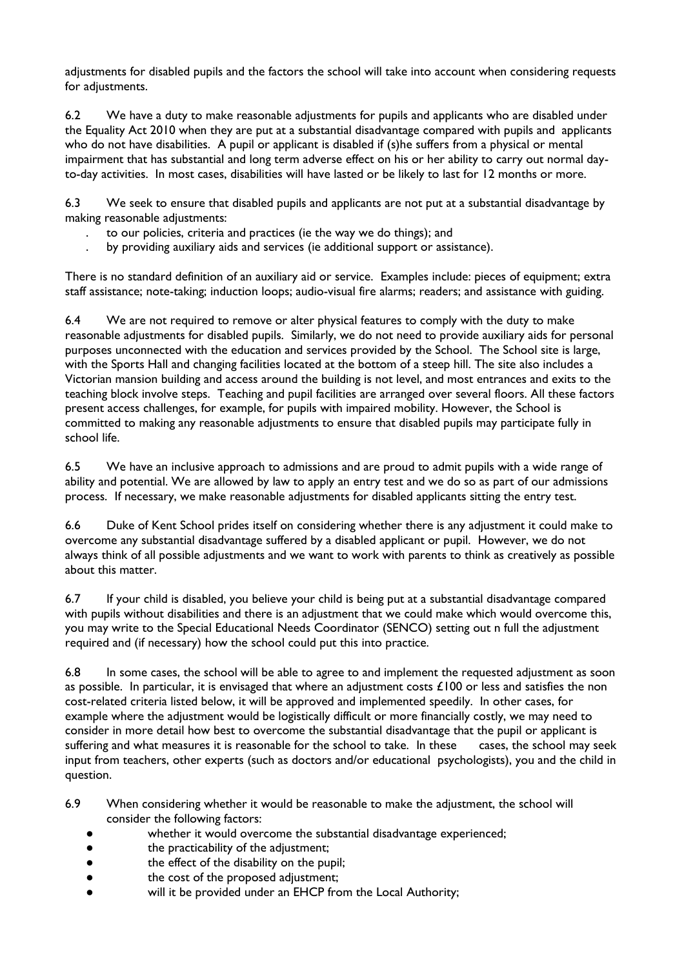adjustments for disabled pupils and the factors the school will take into account when considering requests for adjustments.

6.2 We have a duty to make reasonable adjustments for pupils and applicants who are disabled under the Equality Act 2010 when they are put at a substantial disadvantage compared with pupils and applicants who do not have disabilities. A pupil or applicant is disabled if (s)he suffers from a physical or mental impairment that has substantial and long term adverse effect on his or her ability to carry out normal dayto-day activities. In most cases, disabilities will have lasted or be likely to last for 12 months or more.

6.3 We seek to ensure that disabled pupils and applicants are not put at a substantial disadvantage by making reasonable adjustments:

- . to our policies, criteria and practices (ie the way we do things); and
- . by providing auxiliary aids and services (ie additional support or assistance).

There is no standard definition of an auxiliary aid or service. Examples include: pieces of equipment; extra staff assistance; note-taking; induction loops; audio-visual fire alarms; readers; and assistance with guiding.

6.4 We are not required to remove or alter physical features to comply with the duty to make reasonable adjustments for disabled pupils. Similarly, we do not need to provide auxiliary aids for personal purposes unconnected with the education and services provided by the School. The School site is large, with the Sports Hall and changing facilities located at the bottom of a steep hill. The site also includes a Victorian mansion building and access around the building is not level, and most entrances and exits to the teaching block involve steps. Teaching and pupil facilities are arranged over several floors. All these factors present access challenges, for example, for pupils with impaired mobility. However, the School is committed to making any reasonable adjustments to ensure that disabled pupils may participate fully in school life.

6.5 We have an inclusive approach to admissions and are proud to admit pupils with a wide range of ability and potential. We are allowed by law to apply an entry test and we do so as part of our admissions process. If necessary, we make reasonable adjustments for disabled applicants sitting the entry test.

6.6 Duke of Kent School prides itself on considering whether there is any adjustment it could make to overcome any substantial disadvantage suffered by a disabled applicant or pupil. However, we do not always think of all possible adjustments and we want to work with parents to think as creatively as possible about this matter.

6.7 If your child is disabled, you believe your child is being put at a substantial disadvantage compared with pupils without disabilities and there is an adjustment that we could make which would overcome this, you may write to the Special Educational Needs Coordinator (SENCO) setting out n full the adjustment required and (if necessary) how the school could put this into practice.

6.8 In some cases, the school will be able to agree to and implement the requested adjustment as soon as possible. In particular, it is envisaged that where an adjustment costs  $£100$  or less and satisfies the non cost-related criteria listed below, it will be approved and implemented speedily. In other cases, for example where the adjustment would be logistically difficult or more financially costly, we may need to consider in more detail how best to overcome the substantial disadvantage that the pupil or applicant is suffering and what measures it is reasonable for the school to take. In these cases, the school may seek input from teachers, other experts (such as doctors and/or educational psychologists), you and the child in question.

- 6.9 When considering whether it would be reasonable to make the adjustment, the school will consider the following factors:
	- whether it would overcome the substantial disadvantage experienced;
	- the practicability of the adjustment;
	- the effect of the disability on the pupil;
	- the cost of the proposed adjustment;
	- will it be provided under an EHCP from the Local Authority;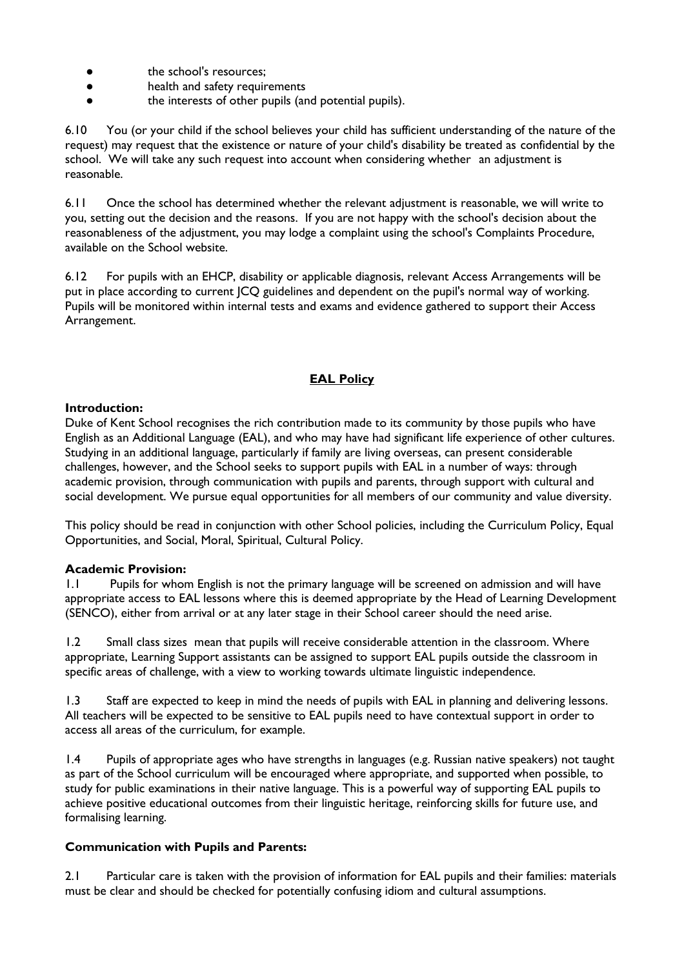- the school's resources;
- health and safety requirements
- the interests of other pupils (and potential pupils).

6.10 You (or your child if the school believes your child has sufficient understanding of the nature of the request) may request that the existence or nature of your child's disability be treated as confidential by the school. We will take any such request into account when considering whether an adjustment is reasonable.

6.11 Once the school has determined whether the relevant adjustment is reasonable, we will write to you, setting out the decision and the reasons. If you are not happy with the school's decision about the reasonableness of the adjustment, you may lodge a complaint using the school's Complaints Procedure, available on the School website.

6.12 For pupils with an EHCP, disability or applicable diagnosis, relevant Access Arrangements will be put in place according to current JCQ guidelines and dependent on the pupil's normal way of working. Pupils will be monitored within internal tests and exams and evidence gathered to support their Access Arrangement.

## **EAL Policy**

#### **Introduction:**

Duke of Kent School recognises the rich contribution made to its community by those pupils who have English as an Additional Language (EAL), and who may have had significant life experience of other cultures. Studying in an additional language, particularly if family are living overseas, can present considerable challenges, however, and the School seeks to support pupils with EAL in a number of ways: through academic provision, through communication with pupils and parents, through support with cultural and social development. We pursue equal opportunities for all members of our community and value diversity.

This policy should be read in conjunction with other School policies, including the Curriculum Policy, Equal Opportunities, and Social, Moral, Spiritual, Cultural Policy.

### **Academic Provision:**

1.1 Pupils for whom English is not the primary language will be screened on admission and will have appropriate access to EAL lessons where this is deemed appropriate by the Head of Learning Development (SENCO), either from arrival or at any later stage in their School career should the need arise.

1.2 Small class sizes mean that pupils will receive considerable attention in the classroom. Where appropriate, Learning Support assistants can be assigned to support EAL pupils outside the classroom in specific areas of challenge, with a view to working towards ultimate linguistic independence.

1.3 Staff are expected to keep in mind the needs of pupils with EAL in planning and delivering lessons. All teachers will be expected to be sensitive to EAL pupils need to have contextual support in order to access all areas of the curriculum, for example.

1.4 Pupils of appropriate ages who have strengths in languages (e.g. Russian native speakers) not taught as part of the School curriculum will be encouraged where appropriate, and supported when possible, to study for public examinations in their native language. This is a powerful way of supporting EAL pupils to achieve positive educational outcomes from their linguistic heritage, reinforcing skills for future use, and formalising learning.

### **Communication with Pupils and Parents:**

2.1 Particular care is taken with the provision of information for EAL pupils and their families: materials must be clear and should be checked for potentially confusing idiom and cultural assumptions.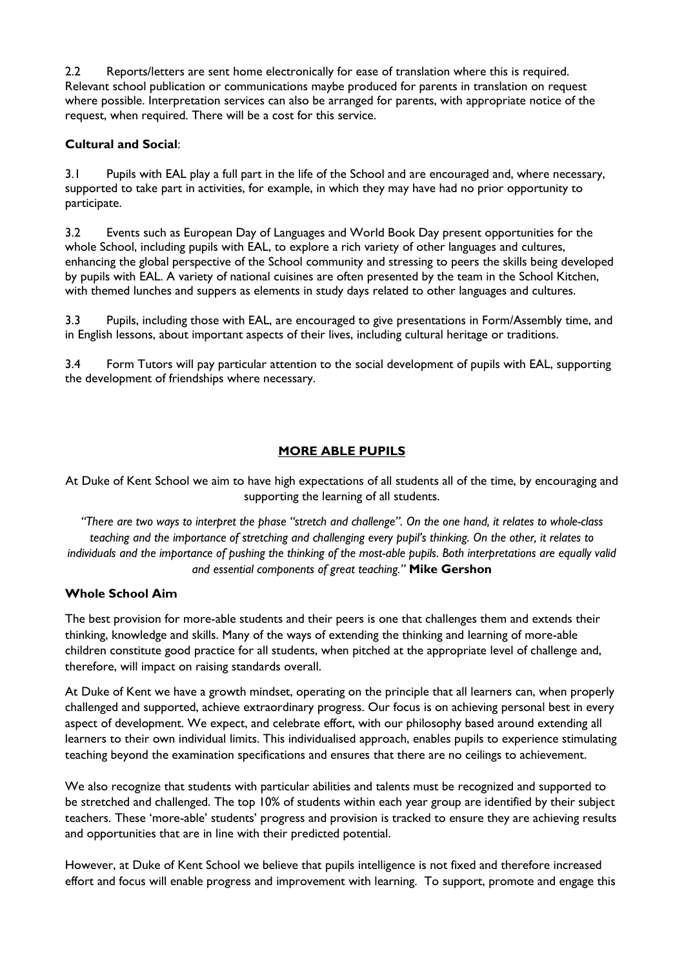2.2 Reports/letters are sent home electronically for ease of translation where this is required. Relevant school publication or communications maybe produced for parents in translation on request where possible. Interpretation services can also be arranged for parents, with appropriate notice of the request, when required. There will be a cost for this service.

## **Cultural and Social**:

3.1 Pupils with EAL play a full part in the life of the School and are encouraged and, where necessary, supported to take part in activities, for example, in which they may have had no prior opportunity to participate.

3.2 Events such as European Day of Languages and World Book Day present opportunities for the whole School, including pupils with EAL, to explore a rich variety of other languages and cultures, enhancing the global perspective of the School community and stressing to peers the skills being developed by pupils with EAL. A variety of national cuisines are often presented by the team in the School Kitchen, with themed lunches and suppers as elements in study days related to other languages and cultures.

3.3 Pupils, including those with EAL, are encouraged to give presentations in Form/Assembly time, and in English lessons, about important aspects of their lives, including cultural heritage or traditions.

3.4 Form Tutors will pay particular attention to the social development of pupils with EAL, supporting the development of friendships where necessary.

## **MORE ABLE PUPILS**

At Duke of Kent School we aim to have high expectations of all students all of the time, by encouraging and supporting the learning of all students.

*"There are two ways to interpret the phase "stretch and challenge". On the one hand, it relates to whole-class teaching and the importance of stretching and challenging every pupil's thinking. On the other, it relates to individuals and the importance of pushing the thinking of the most-able pupils. Both interpretations are equally valid and essential components of great teaching."* **Mike Gershon**

### **Whole School Aim**

The best provision for more-able students and their peers is one that challenges them and extends their thinking, knowledge and skills. Many of the ways of extending the thinking and learning of more-able children constitute good practice for all students, when pitched at the appropriate level of challenge and, therefore, will impact on raising standards overall.

At Duke of Kent we have a growth mindset, operating on the principle that all learners can, when properly challenged and supported, achieve extraordinary progress. Our focus is on achieving personal best in every aspect of development. We expect, and celebrate effort, with our philosophy based around extending all learners to their own individual limits. This individualised approach, enables pupils to experience stimulating teaching beyond the examination specifications and ensures that there are no ceilings to achievement.

We also recognize that students with particular abilities and talents must be recognized and supported to be stretched and challenged. The top 10% of students within each year group are identified by their subject teachers. These 'more-able' students' progress and provision is tracked to ensure they are achieving results and opportunities that are in line with their predicted potential.

However, at Duke of Kent School we believe that pupils intelligence is not fixed and therefore increased effort and focus will enable progress and improvement with learning. To support, promote and engage this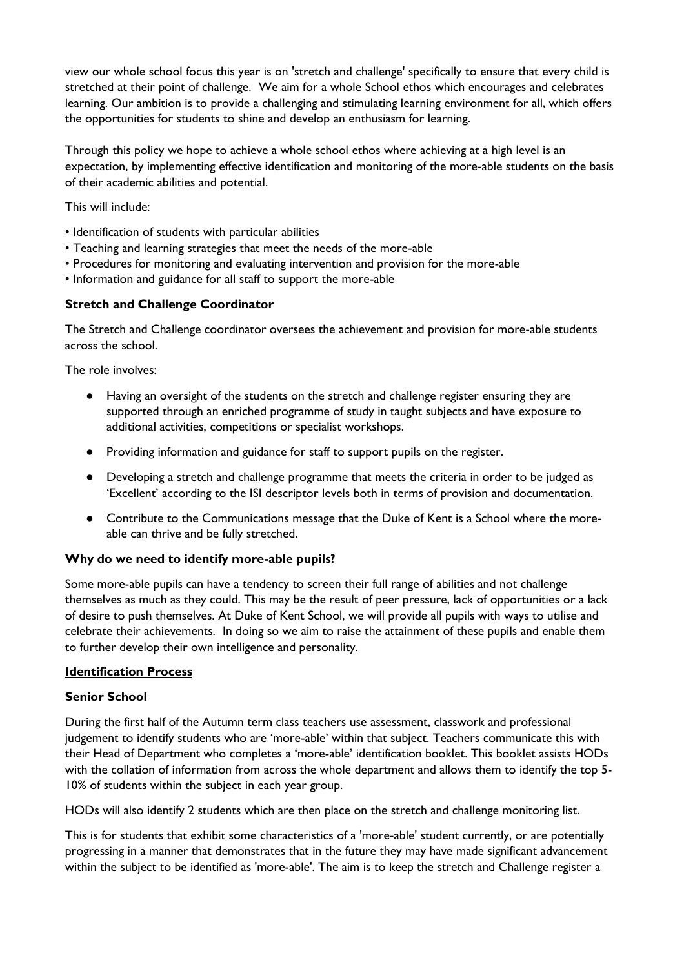view our whole school focus this year is on 'stretch and challenge' specifically to ensure that every child is stretched at their point of challenge. We aim for a whole School ethos which encourages and celebrates learning. Our ambition is to provide a challenging and stimulating learning environment for all, which offers the opportunities for students to shine and develop an enthusiasm for learning.

Through this policy we hope to achieve a whole school ethos where achieving at a high level is an expectation, by implementing effective identification and monitoring of the more-able students on the basis of their academic abilities and potential.

This will include:

- Identification of students with particular abilities
- Teaching and learning strategies that meet the needs of the more-able
- Procedures for monitoring and evaluating intervention and provision for the more-able
- Information and guidance for all staff to support the more-able

### **Stretch and Challenge Coordinator**

The Stretch and Challenge coordinator oversees the achievement and provision for more-able students across the school.

The role involves:

- Having an oversight of the students on the stretch and challenge register ensuring they are supported through an enriched programme of study in taught subjects and have exposure to additional activities, competitions or specialist workshops.
- Providing information and guidance for staff to support pupils on the register.
- Developing a stretch and challenge programme that meets the criteria in order to be judged as 'Excellent' according to the ISI descriptor levels both in terms of provision and documentation.
- Contribute to the Communications message that the Duke of Kent is a School where the moreable can thrive and be fully stretched.

### **Why do we need to identify more-able pupils?**

Some more-able pupils can have a tendency to screen their full range of abilities and not challenge themselves as much as they could. This may be the result of peer pressure, lack of opportunities or a lack of desire to push themselves. At Duke of Kent School, we will provide all pupils with ways to utilise and celebrate their achievements. In doing so we aim to raise the attainment of these pupils and enable them to further develop their own intelligence and personality.

#### **Identification Process**

#### **Senior School**

During the first half of the Autumn term class teachers use assessment, classwork and professional judgement to identify students who are 'more-able' within that subject. Teachers communicate this with their Head of Department who completes a 'more-able' identification booklet. This booklet assists HODs with the collation of information from across the whole department and allows them to identify the top 5- 10% of students within the subject in each year group.

HODs will also identify 2 students which are then place on the stretch and challenge monitoring list.

This is for students that exhibit some characteristics of a 'more-able' student currently, or are potentially progressing in a manner that demonstrates that in the future they may have made significant advancement within the subject to be identified as 'more-able'. The aim is to keep the stretch and Challenge register a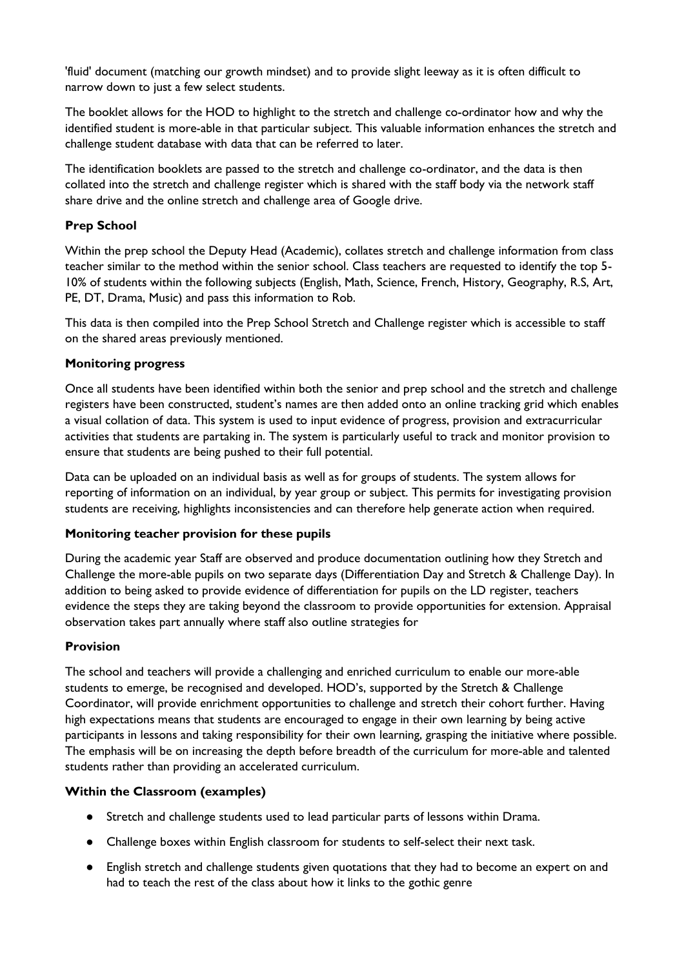'fluid' document (matching our growth mindset) and to provide slight leeway as it is often difficult to narrow down to just a few select students.

The booklet allows for the HOD to highlight to the stretch and challenge co-ordinator how and why the identified student is more-able in that particular subject. This valuable information enhances the stretch and challenge student database with data that can be referred to later.

The identification booklets are passed to the stretch and challenge co-ordinator, and the data is then collated into the stretch and challenge register which is shared with the staff body via the network staff share drive and the online stretch and challenge area of Google drive.

### **Prep School**

Within the prep school the Deputy Head (Academic), collates stretch and challenge information from class teacher similar to the method within the senior school. Class teachers are requested to identify the top 5- 10% of students within the following subjects (English, Math, Science, French, History, Geography, R.S, Art, PE, DT, Drama, Music) and pass this information to Rob.

This data is then compiled into the Prep School Stretch and Challenge register which is accessible to staff on the shared areas previously mentioned.

### **Monitoring progress**

Once all students have been identified within both the senior and prep school and the stretch and challenge registers have been constructed, student's names are then added onto an online tracking grid which enables a visual collation of data. This system is used to input evidence of progress, provision and extracurricular activities that students are partaking in. The system is particularly useful to track and monitor provision to ensure that students are being pushed to their full potential.

Data can be uploaded on an individual basis as well as for groups of students. The system allows for reporting of information on an individual, by year group or subject. This permits for investigating provision students are receiving, highlights inconsistencies and can therefore help generate action when required.

### **Monitoring teacher provision for these pupils**

During the academic year Staff are observed and produce documentation outlining how they Stretch and Challenge the more-able pupils on two separate days (Differentiation Day and Stretch & Challenge Day). In addition to being asked to provide evidence of differentiation for pupils on the LD register, teachers evidence the steps they are taking beyond the classroom to provide opportunities for extension. Appraisal observation takes part annually where staff also outline strategies for

#### **Provision**

The school and teachers will provide a challenging and enriched curriculum to enable our more-able students to emerge, be recognised and developed. HOD's, supported by the Stretch & Challenge Coordinator, will provide enrichment opportunities to challenge and stretch their cohort further. Having high expectations means that students are encouraged to engage in their own learning by being active participants in lessons and taking responsibility for their own learning, grasping the initiative where possible. The emphasis will be on increasing the depth before breadth of the curriculum for more-able and talented students rather than providing an accelerated curriculum.

### **Within the Classroom (examples)**

- Stretch and challenge students used to lead particular parts of lessons within Drama.
- Challenge boxes within English classroom for students to self-select their next task.
- English stretch and challenge students given quotations that they had to become an expert on and had to teach the rest of the class about how it links to the gothic genre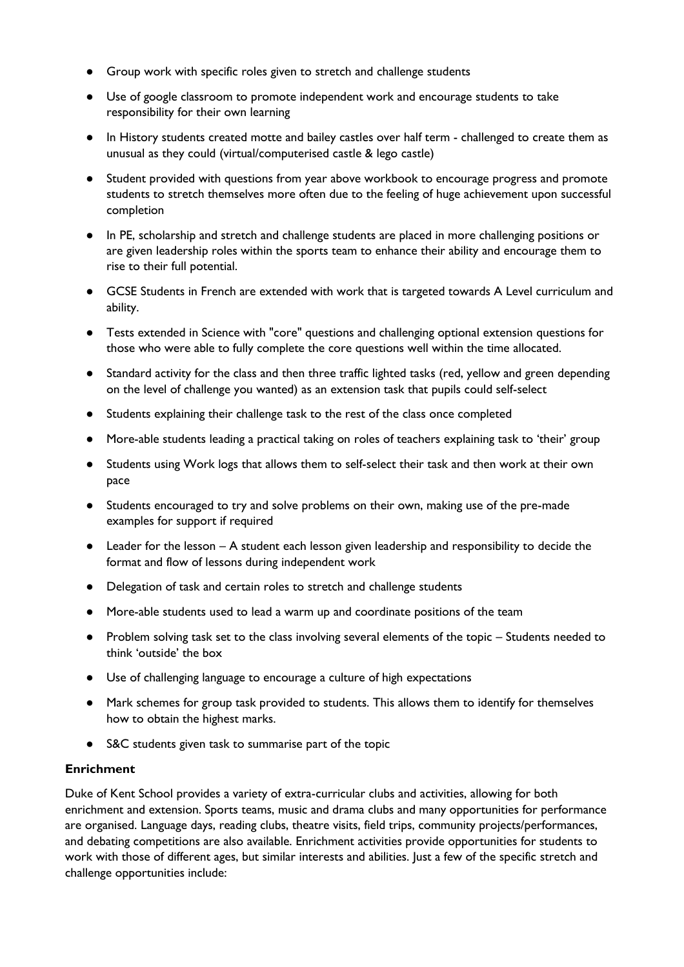- Group work with specific roles given to stretch and challenge students
- Use of google classroom to promote independent work and encourage students to take responsibility for their own learning
- In History students created motte and bailey castles over half term challenged to create them as unusual as they could (virtual/computerised castle & lego castle)
- Student provided with questions from year above workbook to encourage progress and promote students to stretch themselves more often due to the feeling of huge achievement upon successful completion
- In PE, scholarship and stretch and challenge students are placed in more challenging positions or are given leadership roles within the sports team to enhance their ability and encourage them to rise to their full potential.
- GCSE Students in French are extended with work that is targeted towards A Level curriculum and ability.
- Tests extended in Science with "core" questions and challenging optional extension questions for those who were able to fully complete the core questions well within the time allocated.
- Standard activity for the class and then three traffic lighted tasks (red, yellow and green depending on the level of challenge you wanted) as an extension task that pupils could self-select
- Students explaining their challenge task to the rest of the class once completed
- More-able students leading a practical taking on roles of teachers explaining task to 'their' group
- Students using Work logs that allows them to self-select their task and then work at their own pace
- Students encouraged to try and solve problems on their own, making use of the pre-made examples for support if required
- Leader for the lesson A student each lesson given leadership and responsibility to decide the format and flow of lessons during independent work
- Delegation of task and certain roles to stretch and challenge students
- More-able students used to lead a warm up and coordinate positions of the team
- Problem solving task set to the class involving several elements of the topic Students needed to think 'outside' the box
- Use of challenging language to encourage a culture of high expectations
- Mark schemes for group task provided to students. This allows them to identify for themselves how to obtain the highest marks.
- S&C students given task to summarise part of the topic

### **Enrichment**

Duke of Kent School provides a variety of extra-curricular clubs and activities, allowing for both enrichment and extension. Sports teams, music and drama clubs and many opportunities for performance are organised. Language days, reading clubs, theatre visits, field trips, community projects/performances, and debating competitions are also available. Enrichment activities provide opportunities for students to work with those of different ages, but similar interests and abilities. Just a few of the specific stretch and challenge opportunities include: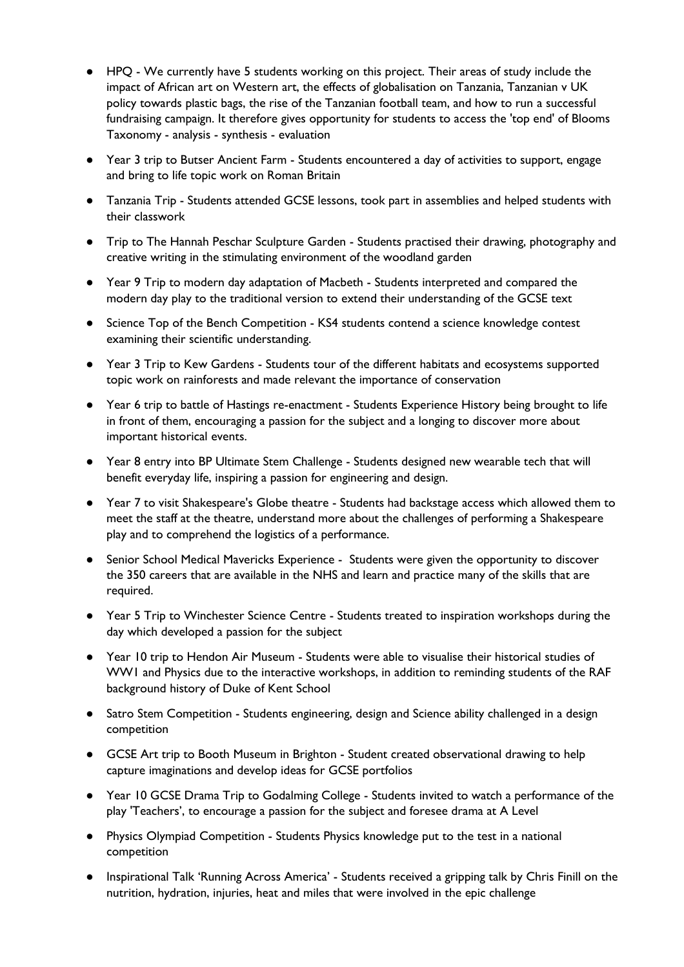- HPQ We currently have 5 students working on this project. Their areas of study include the impact of African art on Western art, the effects of globalisation on Tanzania, Tanzanian v UK policy towards plastic bags, the rise of the Tanzanian football team, and how to run a successful fundraising campaign. It therefore gives opportunity for students to access the 'top end' of Blooms Taxonomy - analysis - synthesis - evaluation
- Year 3 trip to Butser Ancient Farm Students encountered a day of activities to support, engage and bring to life topic work on Roman Britain
- Tanzania Trip Students attended GCSE lessons, took part in assemblies and helped students with their classwork
- Trip to The Hannah Peschar Sculpture Garden Students practised their drawing, photography and creative writing in the stimulating environment of the woodland garden
- Year 9 Trip to modern day adaptation of Macbeth Students interpreted and compared the modern day play to the traditional version to extend their understanding of the GCSE text
- Science Top of the Bench Competition KS4 students contend a science knowledge contest examining their scientific understanding.
- Year 3 Trip to Kew Gardens Students tour of the different habitats and ecosystems supported topic work on rainforests and made relevant the importance of conservation
- Year 6 trip to battle of Hastings re-enactment Students Experience History being brought to life in front of them, encouraging a passion for the subject and a longing to discover more about important historical events.
- Year 8 entry into BP Ultimate Stem Challenge Students designed new wearable tech that will benefit everyday life, inspiring a passion for engineering and design.
- Year 7 to visit Shakespeare's Globe theatre Students had backstage access which allowed them to meet the staff at the theatre, understand more about the challenges of performing a Shakespeare play and to comprehend the logistics of a performance.
- Senior School Medical Mavericks Experience Students were given the opportunity to discover the 350 careers that are available in the NHS and learn and practice many of the skills that are required.
- Year 5 Trip to Winchester Science Centre Students treated to inspiration workshops during the day which developed a passion for the subject
- Year 10 trip to Hendon Air Museum Students were able to visualise their historical studies of WW1 and Physics due to the interactive workshops, in addition to reminding students of the RAF background history of Duke of Kent School
- Satro Stem Competition Students engineering, design and Science ability challenged in a design competition
- GCSE Art trip to Booth Museum in Brighton Student created observational drawing to help capture imaginations and develop ideas for GCSE portfolios
- Year 10 GCSE Drama Trip to Godalming College Students invited to watch a performance of the play 'Teachers', to encourage a passion for the subject and foresee drama at A Level
- Physics Olympiad Competition Students Physics knowledge put to the test in a national competition
- Inspirational Talk 'Running Across America' Students received a gripping talk by Chris Finill on the nutrition, hydration, injuries, heat and miles that were involved in the epic challenge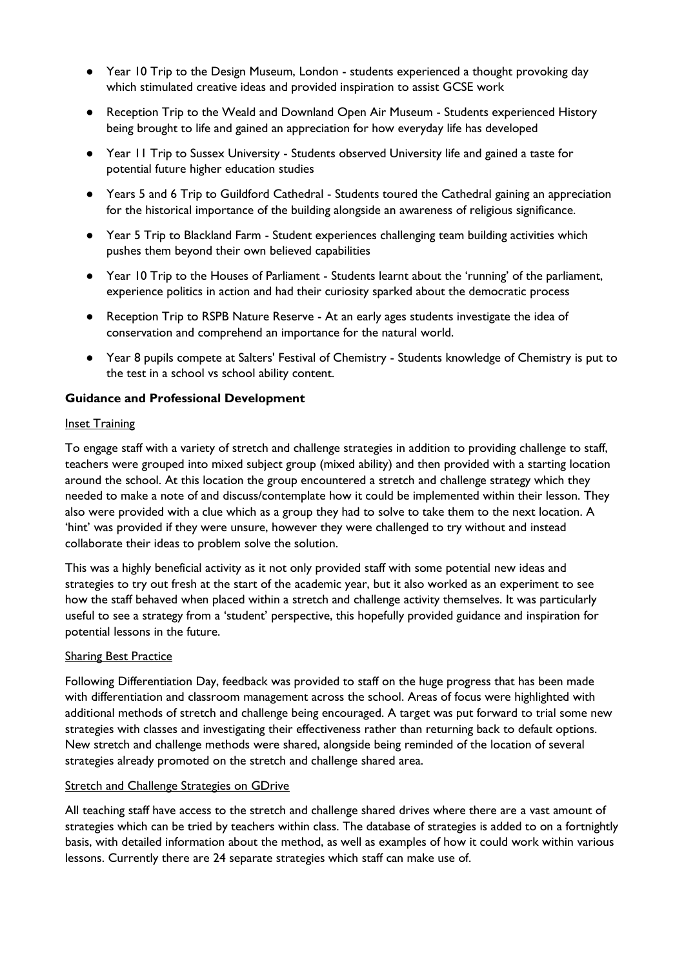- Year 10 Trip to the Design Museum, London students experienced a thought provoking day which stimulated creative ideas and provided inspiration to assist GCSE work
- Reception Trip to the Weald and Downland Open Air Museum Students experienced History being brought to life and gained an appreciation for how everyday life has developed
- Year 11 Trip to Sussex University Students observed University life and gained a taste for potential future higher education studies
- Years 5 and 6 Trip to Guildford Cathedral Students toured the Cathedral gaining an appreciation for the historical importance of the building alongside an awareness of religious significance.
- Year 5 Trip to Blackland Farm Student experiences challenging team building activities which pushes them beyond their own believed capabilities
- Year 10 Trip to the Houses of Parliament Students learnt about the 'running' of the parliament, experience politics in action and had their curiosity sparked about the democratic process
- Reception Trip to RSPB Nature Reserve At an early ages students investigate the idea of conservation and comprehend an importance for the natural world.
- Year 8 pupils compete at Salters' Festival of Chemistry Students knowledge of Chemistry is put to the test in a school vs school ability content.

#### **Guidance and Professional Development**

#### **Inset Training**

To engage staff with a variety of stretch and challenge strategies in addition to providing challenge to staff, teachers were grouped into mixed subject group (mixed ability) and then provided with a starting location around the school. At this location the group encountered a stretch and challenge strategy which they needed to make a note of and discuss/contemplate how it could be implemented within their lesson. They also were provided with a clue which as a group they had to solve to take them to the next location. A 'hint' was provided if they were unsure, however they were challenged to try without and instead collaborate their ideas to problem solve the solution.

This was a highly beneficial activity as it not only provided staff with some potential new ideas and strategies to try out fresh at the start of the academic year, but it also worked as an experiment to see how the staff behaved when placed within a stretch and challenge activity themselves. It was particularly useful to see a strategy from a 'student' perspective, this hopefully provided guidance and inspiration for potential lessons in the future.

#### Sharing Best Practice

Following Differentiation Day, feedback was provided to staff on the huge progress that has been made with differentiation and classroom management across the school. Areas of focus were highlighted with additional methods of stretch and challenge being encouraged. A target was put forward to trial some new strategies with classes and investigating their effectiveness rather than returning back to default options. New stretch and challenge methods were shared, alongside being reminded of the location of several strategies already promoted on the stretch and challenge shared area.

#### Stretch and Challenge Strategies on GDrive

All teaching staff have access to the stretch and challenge shared drives where there are a vast amount of strategies which can be tried by teachers within class. The database of strategies is added to on a fortnightly basis, with detailed information about the method, as well as examples of how it could work within various lessons. Currently there are 24 separate strategies which staff can make use of.